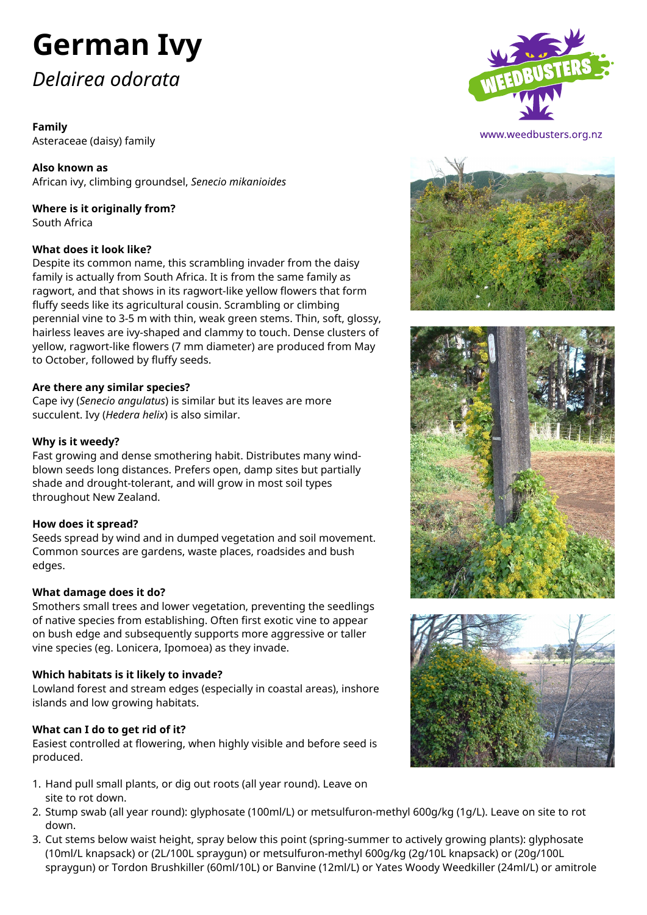# **German Ivy**

# *Delairea odorata*

# **Family**

Asteraceae (daisy) family

**Also known as** African ivy, climbing groundsel, *Senecio mikanioides*

# **Where is it originally from?** South Africa

### **What does it look like?**

Despite its common name, this scrambling invader from the daisy family is actually from South Africa. It is from the same family as ragwort, and that shows in its ragwort-like yellow flowers that form fluffy seeds like its agricultural cousin. Scrambling or climbing perennial vine to 3-5 m with thin, weak green stems. Thin, soft, glossy, hairless leaves are ivy-shaped and clammy to touch. Dense clusters of yellow, ragwort-like flowers (7 mm diameter) are produced from May to October, followed by fluffy seeds.

### **Are there any similar species?**

Cape ivy (*Senecio angulatus*) is similar but its leaves are more succulent. Ivy (*Hedera helix*) is also similar.

### **Why is it weedy?**

Fast growing and dense smothering habit. Distributes many windblown seeds long distances. Prefers open, damp sites but partially shade and drought-tolerant, and will grow in most soil types throughout New Zealand.

#### **How does it spread?**

Seeds spread by wind and in dumped vegetation and soil movement. Common sources are gardens, waste places, roadsides and bush edges.

#### **What damage does it do?**

Smothers small trees and lower vegetation, preventing the seedlings of native species from establishing. Often first exotic vine to appear on bush edge and subsequently supports more aggressive or taller vine species (eg. Lonicera, Ipomoea) as they invade.

#### **Which habitats is it likely to invade?**

Lowland forest and stream edges (especially in coastal areas), inshore islands and low growing habitats.

# **What can I do to get rid of it?**

Easiest controlled at flowering, when highly visible and before seed is produced.

- 1. Hand pull small plants, or dig out roots (all year round). Leave on site to rot down.
- 2. Stump swab (all year round): glyphosate (100ml/L) or metsulfuron-methyl 600g/kg (1g/L). Leave on site to rot down.
- 3. Cut stems below waist height, spray below this point (spring-summer to actively growing plants): glyphosate (10ml/L knapsack) or (2L/100L spraygun) or metsulfuron-methyl 600g/kg (2g/10L knapsack) or (20g/100L spraygun) or Tordon Brushkiller (60ml/10L) or Banvine (12ml/L) or Yates Woody Weedkiller (24ml/L) or amitrole



www.weedbusters.org.nz